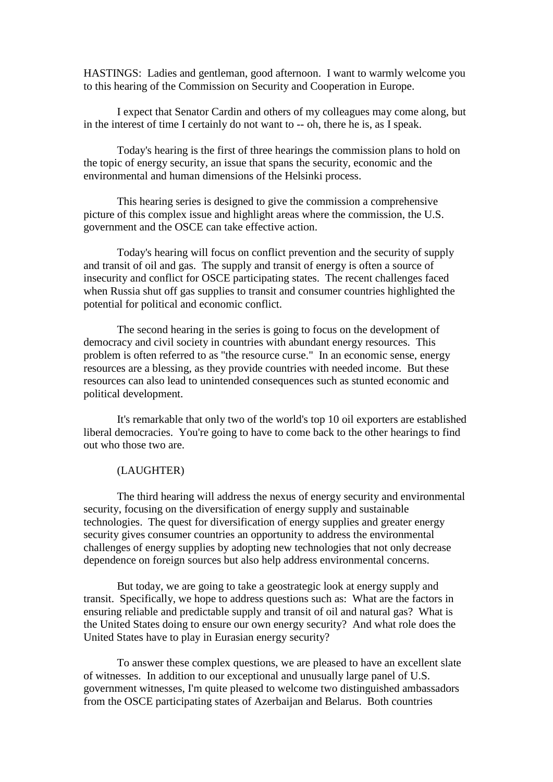HASTINGS: Ladies and gentleman, good afternoon. I want to warmly welcome you to this hearing of the Commission on Security and Cooperation in Europe.

I expect that Senator Cardin and others of my colleagues may come along, but in the interest of time I certainly do not want to -- oh, there he is, as I speak.

Today's hearing is the first of three hearings the commission plans to hold on the topic of energy security, an issue that spans the security, economic and the environmental and human dimensions of the Helsinki process.

This hearing series is designed to give the commission a comprehensive picture of this complex issue and highlight areas where the commission, the U.S. government and the OSCE can take effective action.

Today's hearing will focus on conflict prevention and the security of supply and transit of oil and gas. The supply and transit of energy is often a source of insecurity and conflict for OSCE participating states. The recent challenges faced when Russia shut off gas supplies to transit and consumer countries highlighted the potential for political and economic conflict.

The second hearing in the series is going to focus on the development of democracy and civil society in countries with abundant energy resources. This problem is often referred to as "the resource curse." In an economic sense, energy resources are a blessing, as they provide countries with needed income. But these resources can also lead to unintended consequences such as stunted economic and political development.

It's remarkable that only two of the world's top 10 oil exporters are established liberal democracies. You're going to have to come back to the other hearings to find out who those two are.

## (LAUGHTER)

The third hearing will address the nexus of energy security and environmental security, focusing on the diversification of energy supply and sustainable technologies. The quest for diversification of energy supplies and greater energy security gives consumer countries an opportunity to address the environmental challenges of energy supplies by adopting new technologies that not only decrease dependence on foreign sources but also help address environmental concerns.

But today, we are going to take a geostrategic look at energy supply and transit. Specifically, we hope to address questions such as: What are the factors in ensuring reliable and predictable supply and transit of oil and natural gas? What is the United States doing to ensure our own energy security? And what role does the United States have to play in Eurasian energy security?

To answer these complex questions, we are pleased to have an excellent slate of witnesses. In addition to our exceptional and unusually large panel of U.S. government witnesses, I'm quite pleased to welcome two distinguished ambassadors from the OSCE participating states of Azerbaijan and Belarus. Both countries